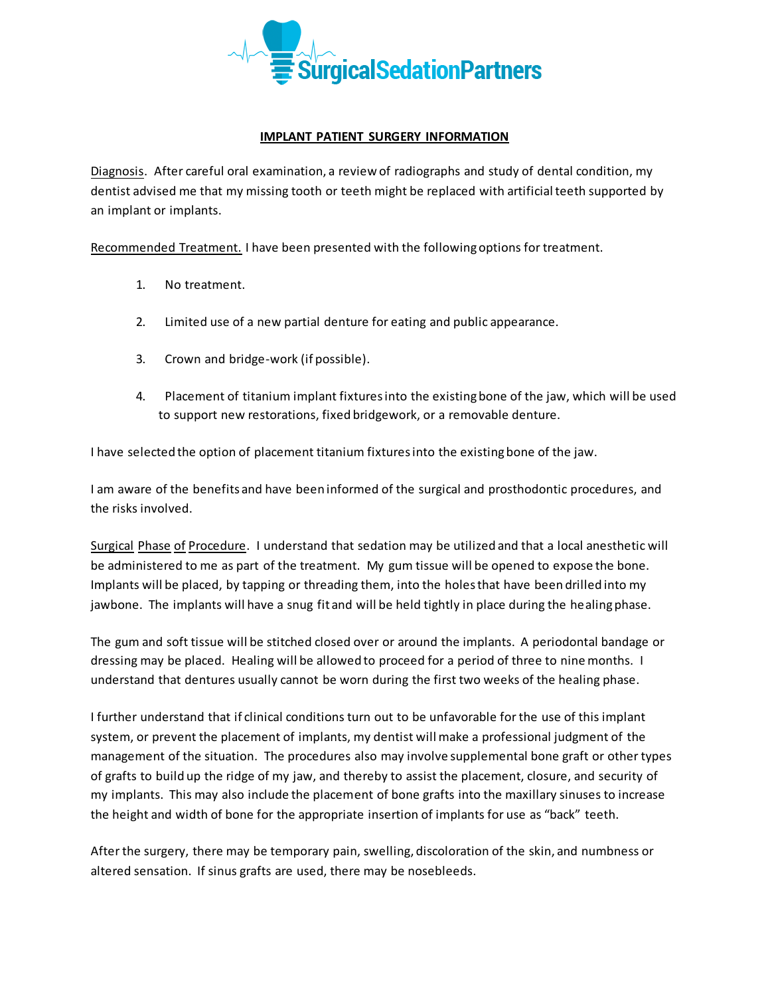

## **IMPLANT PATIENT SURGERY INFORMATION**

Diagnosis. After careful oral examination, a review of radiographs and study of dental condition, my dentist advised me that my missing tooth or teeth might be replaced with artificial teeth supported by an implant or implants.

Recommended Treatment. I have been presented with the following options for treatment.

- 1. No treatment.
- 2. Limited use of a new partial denture for eating and public appearance.
- 3. Crown and bridge-work (if possible).
- 4. Placement of titanium implant fixtures into the existing bone of the jaw, which will be used to support new restorations, fixed bridgework, or a removable denture.

I have selected the option of placement titanium fixtures into the existing bone of the jaw.

I am aware of the benefits and have been informed of the surgical and prosthodontic procedures, and the risks involved.

Surgical Phase of Procedure. I understand that sedation may be utilized and that a local anesthetic will be administered to me as part of the treatment. My gum tissue will be opened to expose the bone. Implants will be placed, by tapping or threading them, into the holes that have been drilled into my jawbone. The implants will have a snug fit and will be held tightly in place during the healing phase.

The gum and soft tissue will be stitched closed over or around the implants. A periodontal bandage or dressing may be placed. Healing will be allowed to proceed for a period of three to nine months. I understand that dentures usually cannot be worn during the first two weeks of the healing phase.

I further understand that if clinical conditions turn out to be unfavorable for the use of this implant system, or prevent the placement of implants, my dentist will make a professional judgment of the management of the situation. The procedures also may involve supplemental bone graft or other types of grafts to build up the ridge of my jaw, and thereby to assist the placement, closure, and security of my implants. This may also include the placement of bone grafts into the maxillary sinuses to increase the height and width of bone for the appropriate insertion of implants for use as "back" teeth.

After the surgery, there may be temporary pain, swelling, discoloration of the skin, and numbness or altered sensation. If sinus grafts are used, there may be nosebleeds.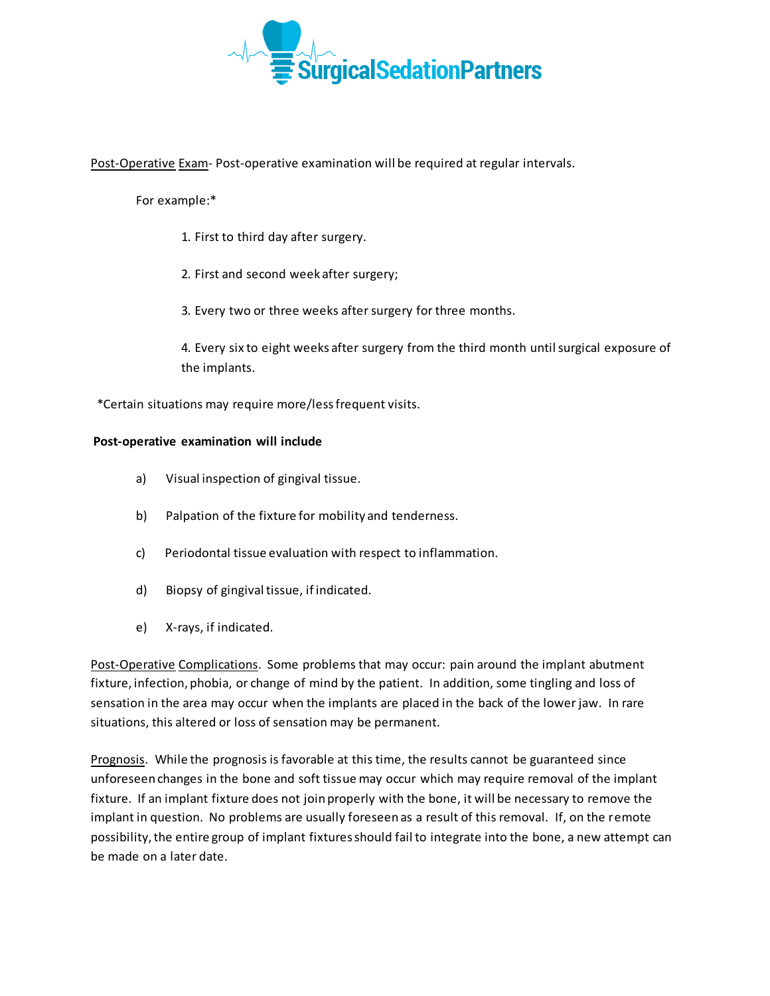

Post-Operative Exam- Post-operative examination will be required at regular intervals.

## For example:\*

- 1. First to third day after surgery.
- 2. First and second week after surgery;

3. Every two or three weeks after surgery for three months.

4. Every six to eight weeks after surgery from the third month until surgical exposure of the implants.

\*Certain situations may require more/less frequent visits.

## **Post-operative examination will include**

- a) Visual inspection of gingival tissue.
- b) Palpation of the fixture for mobility and tenderness.
- c) Periodontal tissue evaluation with respect to inflammation.
- d) Biopsy of gingival tissue, if indicated.
- e) X-rays, if indicated.

Post-Operative Complications. Some problems that may occur: pain around the implant abutment fixture, infection, phobia, or change of mind by the patient. In addition, some tingling and loss of sensation in the area may occur when the implants are placed in the back of the lower jaw. In rare situations, this altered or loss of sensation may be permanent.

Prognosis. While the prognosis is favorable at this time, the results cannot be guaranteed since unforeseen changes in the bone and soft tissue may occur which may require removal of the implant fixture. If an implant fixture does not join properly with the bone, it will be necessary to remove the implant in question. No problems are usually foreseen as a result of this removal. If, on the remote possibility, the entire group of implant fixtures should fail to integrate into the bone, a new attempt can be made on a later date.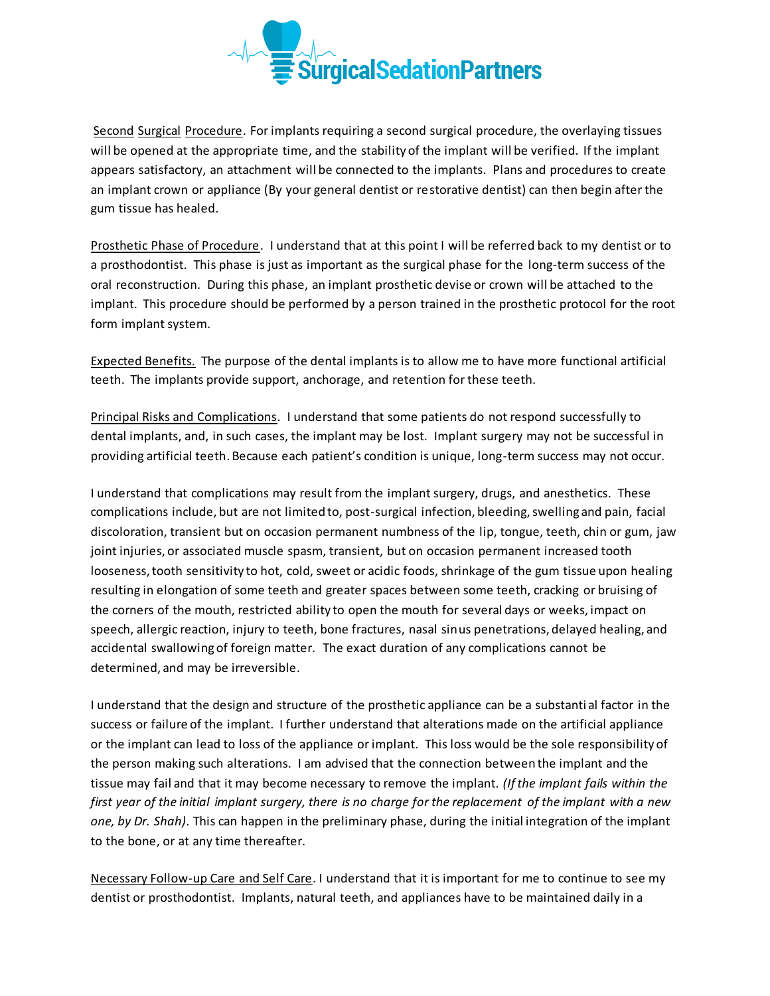

Second Surgical Procedure. For implants requiring a second surgical procedure, the overlaying tissues will be opened at the appropriate time, and the stability of the implant will be verified. If the implant appears satisfactory, an attachment will be connected to the implants. Plans and procedures to create an implant crown or appliance (By your general dentist or restorative dentist) can then begin after the gum tissue has healed.

Prosthetic Phase of Procedure. I understand that at this point I will be referred back to my dentist or to a prosthodontist. This phase is just as important as the surgical phase for the long-term success of the oral reconstruction. During this phase, an implant prosthetic devise or crown will be attached to the implant. This procedure should be performed by a person trained in the prosthetic protocol for the root form implant system.

Expected Benefits. The purpose of the dental implants is to allow me to have more functional artificial teeth. The implants provide support, anchorage, and retention for these teeth.

Principal Risks and Complications. I understand that some patients do not respond successfully to dental implants, and, in such cases, the implant may be lost. Implant surgery may not be successful in providing artificial teeth. Because each patient's condition is unique, long-term success may not occur.

I understand that complications may result from the implant surgery, drugs, and anesthetics. These complications include, but are not limited to, post-surgical infection, bleeding, swelling and pain, facial discoloration, transient but on occasion permanent numbness of the lip, tongue, teeth, chin or gum, jaw joint injuries, or associated muscle spasm, transient, but on occasion permanent increased tooth looseness, tooth sensitivity to hot, cold, sweet or acidic foods, shrinkage of the gum tissue upon healing resulting in elongation of some teeth and greater spaces between some teeth, cracking or bruising of the corners of the mouth, restricted ability to open the mouth for several days or weeks, impact on speech, allergic reaction, injury to teeth, bone fractures, nasal sinus penetrations, delayed healing, and accidental swallowing of foreign matter. The exact duration of any complications cannot be determined, and may be irreversible.

I understand that the design and structure of the prosthetic appliance can be a substanti al factor in the success or failure of the implant. I further understand that alterations made on the artificial appliance or the implant can lead to loss of the appliance or implant. This loss would be the sole responsibility of the person making such alterations. I am advised that the connection between the implant and the tissue may fail and that it may become necessary to remove the implant. *(If the implant fails within the first year of the initial implant surgery, there is no charge for the replacement of the implant with a new one, by Dr. Shah).* This can happen in the preliminary phase, during the initial integration of the implant to the bone, or at any time thereafter.

Necessary Follow-up Care and Self Care. I understand that it is important for me to continue to see my dentist or prosthodontist. Implants, natural teeth, and appliances have to be maintained daily in a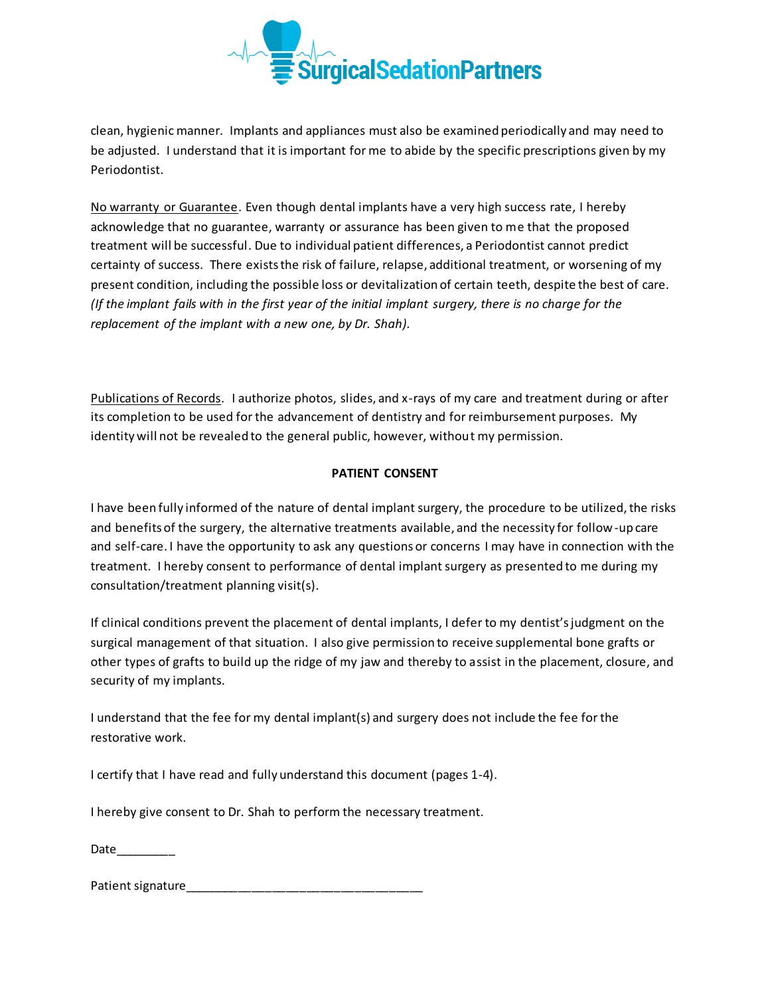

clean, hygienic manner. Implants and appliances must also be examined periodically and may need to be adjusted. I understand that it is important for me to abide by the specific prescriptions given by my Periodontist.

No warranty or Guarantee. Even though dental implants have a very high success rate, I hereby acknowledge that no guarantee, warranty or assurance has been given to me that the proposed treatment will be successful. Due to individual patient differences, a Periodontist cannot predict certainty of success. There exists the risk of failure, relapse, additional treatment, or worsening of my present condition, including the possible loss or devitalization of certain teeth, despite the best of care. *(If the implant fails with in the first year of the initial implant surgery, there is no charge for the replacement of the implant with a new one, by Dr. Shah).*

Publications of Records. I authorize photos, slides, and x-rays of my care and treatment during or after its completion to be used for the advancement of dentistry and for reimbursement purposes. My identity will not be revealed to the general public, however, without my permission.

## **PATIENT CONSENT**

I have been fully informed of the nature of dental implant surgery, the procedure to be utilized, the risks and benefits of the surgery, the alternative treatments available, and the necessity for follow-up care and self-care. I have the opportunity to ask any questions or concerns I may have in connection with the treatment. I hereby consent to performance of dental implant surgery as presented to me during my consultation/treatment planning visit(s).

If clinical conditions prevent the placement of dental implants, I defer to my dentist's judgment on the surgical management of that situation. I also give permission to receive supplemental bone grafts or other types of grafts to build up the ridge of my jaw and thereby to assist in the placement, closure, and security of my implants.

I understand that the fee for my dental implant(s) and surgery does not include the fee for the restorative work.

I certify that I have read and fully understand this document (pages 1-4).

I hereby give consent to Dr. Shah to perform the necessary treatment.

Date\_\_\_\_\_\_\_\_\_

Patient signature\_\_\_\_\_\_\_\_\_\_\_\_\_\_\_\_\_\_\_\_\_\_\_\_\_\_\_\_\_\_\_\_\_\_\_